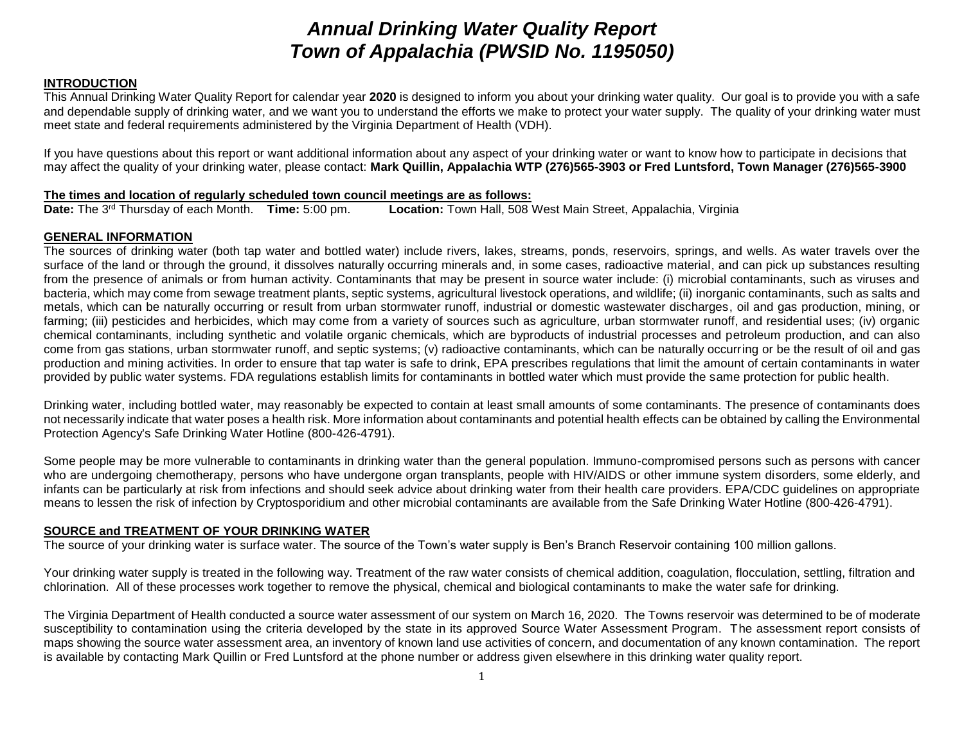# *Annual Drinking Water Quality Report Town of Appalachia (PWSID No. 1195050)*

# **INTRODUCTION**

This Annual Drinking Water Quality Report for calendar year **2020** is designed to inform you about your drinking water quality. Our goal is to provide you with a safe and dependable supply of drinking water, and we want you to understand the efforts we make to protect your water supply. The quality of your drinking water must meet state and federal requirements administered by the Virginia Department of Health (VDH).

If you have questions about this report or want additional information about any aspect of your drinking water or want to know how to participate in decisions that may affect the quality of your drinking water, please contact: **Mark Quillin, Appalachia WTP (276)565-3903 or Fred Luntsford, Town Manager (276)565-3900**

# **The times and location of regularly scheduled town council meetings are as follows:**<br>Date: The 3<sup>rd</sup> Thursday of each Month. Time: 5:00 pm. Location: Town Hall, 508

**Location:** Town Hall, 508 West Main Street, Appalachia, Virginia

# **GENERAL INFORMATION**

The sources of drinking water (both tap water and bottled water) include rivers, lakes, streams, ponds, reservoirs, springs, and wells. As water travels over the surface of the land or through the ground, it dissolves naturally occurring minerals and, in some cases, radioactive material, and can pick up substances resulting from the presence of animals or from human activity. Contaminants that may be present in source water include: (i) microbial contaminants, such as viruses and bacteria, which may come from sewage treatment plants, septic systems, agricultural livestock operations, and wildlife; (ii) inorganic contaminants, such as salts and metals, which can be naturally occurring or result from urban stormwater runoff, industrial or domestic wastewater discharges, oil and gas production, mining, or farming; (iii) pesticides and herbicides, which may come from a variety of sources such as agriculture, urban stormwater runoff, and residential uses; (iv) organic chemical contaminants, including synthetic and volatile organic chemicals, which are byproducts of industrial processes and petroleum production, and can also come from gas stations, urban stormwater runoff, and septic systems; (v) radioactive contaminants, which can be naturally occurring or be the result of oil and gas production and mining activities. In order to ensure that tap water is safe to drink, EPA prescribes regulations that limit the amount of certain contaminants in water provided by public water systems. FDA regulations establish limits for contaminants in bottled water which must provide the same protection for public health.

Drinking water, including bottled water, may reasonably be expected to contain at least small amounts of some contaminants. The presence of contaminants does not necessarily indicate that water poses a health risk. More information about contaminants and potential health effects can be obtained by calling the Environmental Protection Agency's Safe Drinking Water Hotline (800-426-4791).

Some people may be more vulnerable to contaminants in drinking water than the general population. Immuno-compromised persons such as persons with cancer who are undergoing chemotherapy, persons who have undergone organ transplants, people with HIV/AIDS or other immune system disorders, some elderly, and infants can be particularly at risk from infections and should seek advice about drinking water from their health care providers. EPA/CDC guidelines on appropriate means to lessen the risk of infection by Cryptosporidium and other microbial contaminants are available from the Safe Drinking Water Hotline (800-426-4791).

# **SOURCE and TREATMENT OF YOUR DRINKING WATER**

The source of your drinking water is surface water. The source of the Town's water supply is Ben's Branch Reservoir containing 100 million gallons.

Your drinking water supply is treated in the following way. Treatment of the raw water consists of chemical addition, coagulation, flocculation, settling, filtration and chlorination. All of these processes work together to remove the physical, chemical and biological contaminants to make the water safe for drinking.

The Virginia Department of Health conducted a source water assessment of our system on March 16, 2020. The Towns reservoir was determined to be of moderate susceptibility to contamination using the criteria developed by the state in its approved Source Water Assessment Program. The assessment report consists of maps showing the source water assessment area, an inventory of known land use activities of concern, and documentation of any known contamination. The report is available by contacting Mark Quillin or Fred Luntsford at the phone number or address given elsewhere in this drinking water quality report.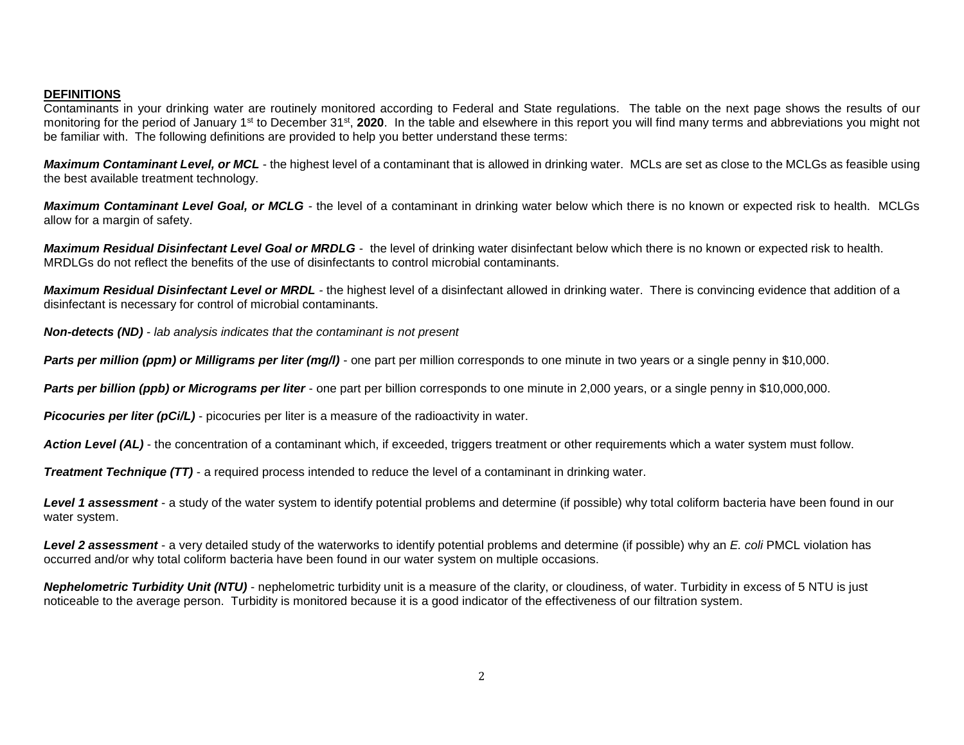# **DEFINITIONS**

Contaminants in your drinking water are routinely monitored according to Federal and State regulations. The table on the next page shows the results of our monitoring for the period of January 1<sup>st</sup> to December 31<sup>st</sup>, 2020. In the table and elsewhere in this report you will find many terms and abbreviations you might not be familiar with. The following definitions are provided to help you better understand these terms:

*Maximum Contaminant Level, or MCL* - the highest level of a contaminant that is allowed in drinking water. MCLs are set as close to the MCLGs as feasible using the best available treatment technology.

*Maximum Contaminant Level Goal, or MCLG -* the level of a contaminant in drinking water below which there is no known or expected risk to health. MCLGs allow for a margin of safety.

*Maximum Residual Disinfectant Level Goal or MRDLG* - the level of drinking water disinfectant below which there is no known or expected risk to health. MRDLGs do not reflect the benefits of the use of disinfectants to control microbial contaminants.

*Maximum Residual Disinfectant Level or MRDL -* the highest level of a disinfectant allowed in drinking water. There is convincing evidence that addition of a disinfectant is necessary for control of microbial contaminants.

*Non-detects (ND) - lab analysis indicates that the contaminant is not present*

**Parts per million (ppm) or Milligrams per liter (mg/l)** - one part per million corresponds to one minute in two years or a single penny in \$10,000.

*Parts per billion (ppb) or Micrograms per liter* - one part per billion corresponds to one minute in 2,000 years, or a single penny in \$10,000,000.

**Picocuries per liter (pCi/L)** - picocuries per liter is a measure of the radioactivity in water.

Action Level *(AL)* - the concentration of a contaminant which, if exceeded, triggers treatment or other requirements which a water system must follow.

*Treatment Technique (TT)* - a required process intended to reduce the level of a contaminant in drinking water.

Level 1 assessment - a study of the water system to identify potential problems and determine (if possible) why total coliform bacteria have been found in our water system.

*Level 2 assessment* - a very detailed study of the waterworks to identify potential problems and determine (if possible) why an *E. coli* PMCL violation has occurred and/or why total coliform bacteria have been found in our water system on multiple occasions.

*Nephelometric Turbidity Unit (NTU)* - nephelometric turbidity unit is a measure of the clarity, or cloudiness, of water. Turbidity in excess of 5 NTU is just noticeable to the average person. Turbidity is monitored because it is a good indicator of the effectiveness of our filtration system.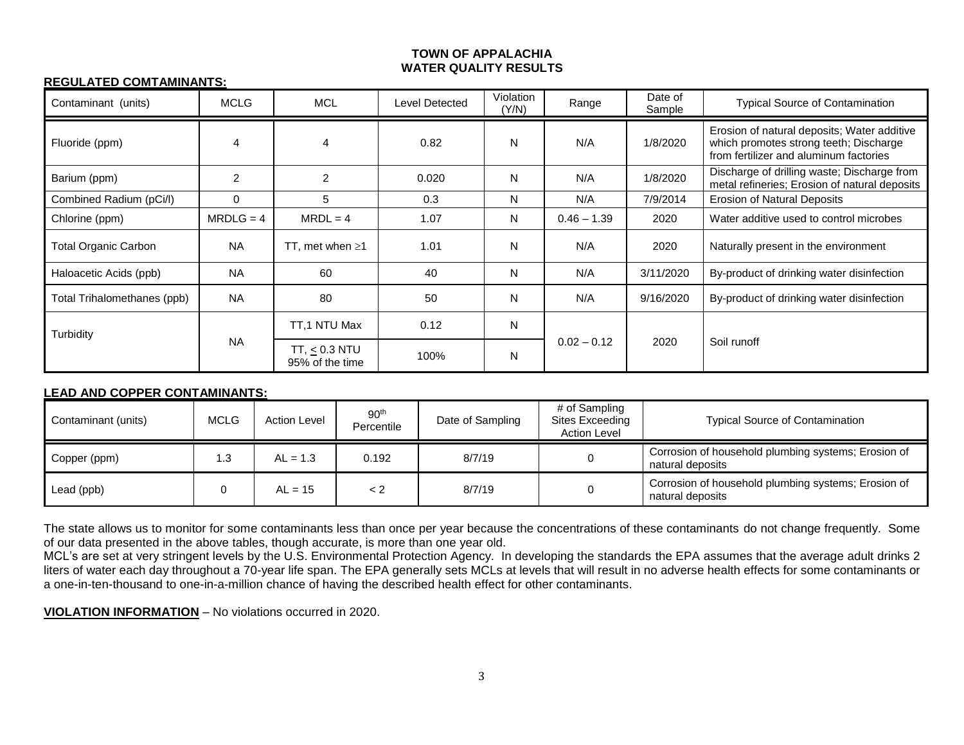#### **TOWN OF APPALACHIA WATER QUALITY RESULTS**

# **REGULATED COMTAMINANTS:**

| Contaminant (units)         | <b>MCLG</b> | <b>MCL</b>                         | Level Detected | Violation<br>(Y/N) | Range         | Date of<br>Sample | <b>Typical Source of Contamination</b>                                                                                          |
|-----------------------------|-------------|------------------------------------|----------------|--------------------|---------------|-------------------|---------------------------------------------------------------------------------------------------------------------------------|
| Fluoride (ppm)              | 4           | 4                                  | 0.82           | N                  | N/A           | 1/8/2020          | Erosion of natural deposits; Water additive<br>which promotes strong teeth; Discharge<br>from fertilizer and aluminum factories |
| Barium (ppm)                | 2           | $\overline{2}$                     | 0.020          | N                  | N/A           | 1/8/2020          | Discharge of drilling waste; Discharge from<br>metal refineries; Erosion of natural deposits                                    |
| Combined Radium (pCi/l)     | $\Omega$    | 5                                  | 0.3            | N                  | N/A           | 7/9/2014          | <b>Erosion of Natural Deposits</b>                                                                                              |
| Chlorine (ppm)              | $MRDLG = 4$ | $MRDL = 4$                         | 1.07           | N                  | $0.46 - 1.39$ | 2020              | Water additive used to control microbes                                                                                         |
| <b>Total Organic Carbon</b> | <b>NA</b>   | TT, met when $\geq 1$              | 1.01           | N                  | N/A           | 2020              | Naturally present in the environment                                                                                            |
| Haloacetic Acids (ppb)      | <b>NA</b>   | 60                                 | 40             | N                  | N/A           | 3/11/2020         | By-product of drinking water disinfection                                                                                       |
| Total Trihalomethanes (ppb) | <b>NA</b>   | 80                                 | 50             | N                  | N/A           | 9/16/2020         | By-product of drinking water disinfection                                                                                       |
| Turbidity                   | <b>NA</b>   | TT.1 NTU Max                       | 0.12           | N                  | $0.02 - 0.12$ | 2020              | Soil runoff                                                                                                                     |
|                             |             | $TT, < 0.3$ NTU<br>95% of the time | 100%           | N                  |               |                   |                                                                                                                                 |

# **LEAD AND COPPER CONTAMINANTS:**

| Contaminant (units) | <b>MCLG</b> | <b>Action Level</b> | 90 <sup>th</sup><br>Percentile | Date of Sampling | # of Sampling<br>Sites Exceeding<br><b>Action Level</b> | <b>Typical Source of Contamination</b>                                  |
|---------------------|-------------|---------------------|--------------------------------|------------------|---------------------------------------------------------|-------------------------------------------------------------------------|
| Copper (ppm)        | .3          | $AL = 1.3$          | 0.192                          | 8/7/19           |                                                         | Corrosion of household plumbing systems; Erosion of<br>natural deposits |
| Lead (ppb)          |             | $AL = 15$           | < 2                            | 8/7/19           |                                                         | Corrosion of household plumbing systems; Erosion of<br>natural deposits |

The state allows us to monitor for some contaminants less than once per year because the concentrations of these contaminants do not change frequently. Some of our data presented in the above tables, though accurate, is more than one year old.

MCL's are set at very stringent levels by the U.S. Environmental Protection Agency. In developing the standards the EPA assumes that the average adult drinks 2 liters of water each day throughout a 70-year life span. The EPA generally sets MCLs at levels that will result in no adverse health effects for some contaminants or a one-in-ten-thousand to one-in-a-million chance of having the described health effect for other contaminants.

**VIOLATION INFORMATION** – No violations occurred in 2020.